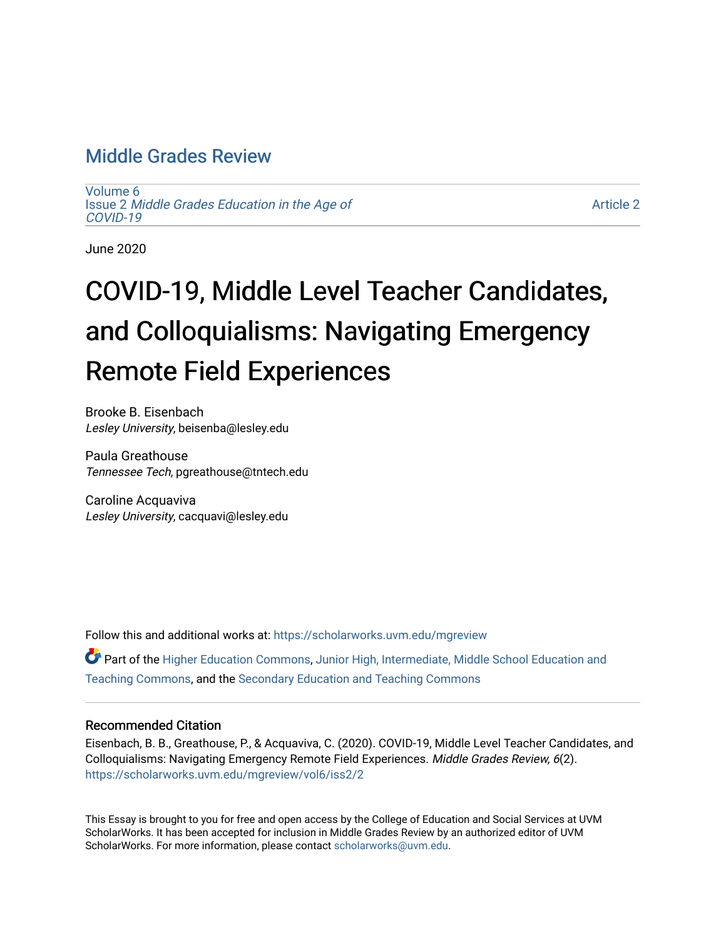# [Middle Grades Review](https://scholarworks.uvm.edu/mgreview)

[Volume 6](https://scholarworks.uvm.edu/mgreview/vol6) Issue 2 [Middle Grades Education in the Age of](https://scholarworks.uvm.edu/mgreview/vol6/iss2) [COVID-19](https://scholarworks.uvm.edu/mgreview/vol6/iss2)

[Article 2](https://scholarworks.uvm.edu/mgreview/vol6/iss2/2) 

June 2020

# COVID-19, Middle Level Teacher Candidates, and Colloquialisms: Navigating Emergency Remote Field Experiences

Brooke B. Eisenbach Lesley University, beisenba@lesley.edu

Paula Greathouse Tennessee Tech, pgreathouse@tntech.edu

Caroline Acquaviva Lesley University, cacquavi@lesley.edu

Follow this and additional works at: [https://scholarworks.uvm.edu/mgreview](https://scholarworks.uvm.edu/mgreview?utm_source=scholarworks.uvm.edu%2Fmgreview%2Fvol6%2Fiss2%2F2&utm_medium=PDF&utm_campaign=PDFCoverPages) 

Part of the [Higher Education Commons,](http://network.bepress.com/hgg/discipline/1245?utm_source=scholarworks.uvm.edu%2Fmgreview%2Fvol6%2Fiss2%2F2&utm_medium=PDF&utm_campaign=PDFCoverPages) Junior High, Intermediate, Middle School Education and [Teaching Commons](http://network.bepress.com/hgg/discipline/807?utm_source=scholarworks.uvm.edu%2Fmgreview%2Fvol6%2Fiss2%2F2&utm_medium=PDF&utm_campaign=PDFCoverPages), and the [Secondary Education and Teaching Commons](http://network.bepress.com/hgg/discipline/809?utm_source=scholarworks.uvm.edu%2Fmgreview%2Fvol6%2Fiss2%2F2&utm_medium=PDF&utm_campaign=PDFCoverPages) 

### Recommended Citation

Eisenbach, B. B., Greathouse, P., & Acquaviva, C. (2020). COVID-19, Middle Level Teacher Candidates, and Colloquialisms: Navigating Emergency Remote Field Experiences. Middle Grades Review, 6(2). [https://scholarworks.uvm.edu/mgreview/vol6/iss2/2](https://scholarworks.uvm.edu/mgreview/vol6/iss2/2?utm_source=scholarworks.uvm.edu%2Fmgreview%2Fvol6%2Fiss2%2F2&utm_medium=PDF&utm_campaign=PDFCoverPages) 

This Essay is brought to you for free and open access by the College of Education and Social Services at UVM ScholarWorks. It has been accepted for inclusion in Middle Grades Review by an authorized editor of UVM ScholarWorks. For more information, please contact [scholarworks@uvm.edu](mailto:scholarworks@uvm.edu).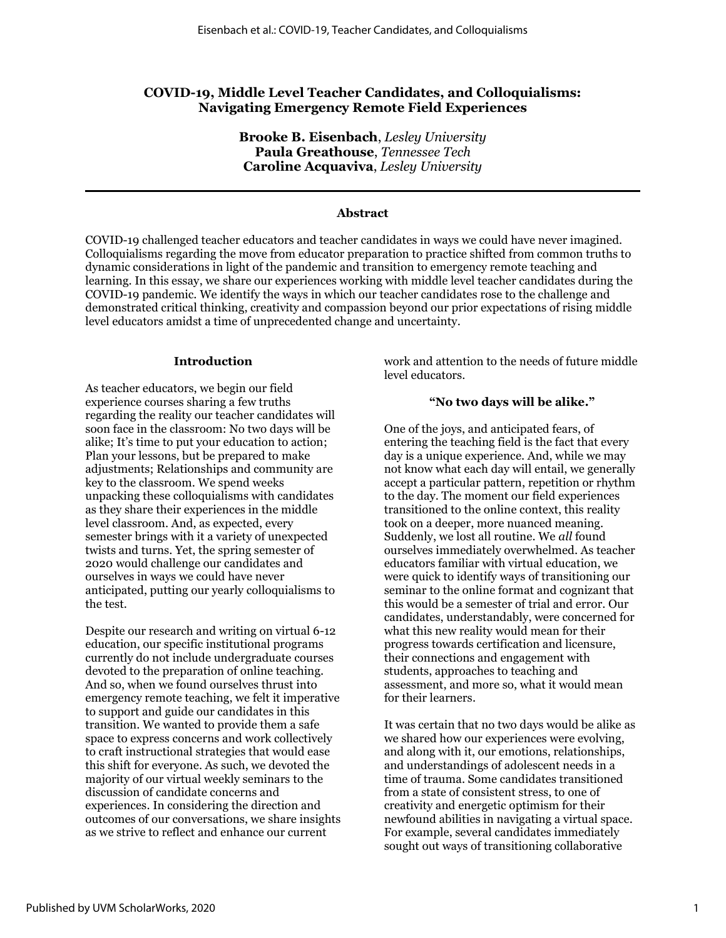## **COVID-19, Middle Level Teacher Candidates, and Colloquialisms: Navigating Emergency Remote Field Experiences**

**Brooke B. Eisenbach**, *Lesley University* **Paula Greathouse**, *Tennessee Tech* **Caroline Acquaviva**, *Lesley University*

#### **Abstract**

COVID-19 challenged teacher educators and teacher candidates in ways we could have never imagined. Colloquialisms regarding the move from educator preparation to practice shifted from common truths to dynamic considerations in light of the pandemic and transition to emergency remote teaching and learning. In this essay, we share our experiences working with middle level teacher candidates during the COVID-19 pandemic. We identify the ways in which our teacher candidates rose to the challenge and demonstrated critical thinking, creativity and compassion beyond our prior expectations of rising middle level educators amidst a time of unprecedented change and uncertainty.

#### **Introduction**

As teacher educators, we begin our field experience courses sharing a few truths regarding the reality our teacher candidates will soon face in the classroom: No two days will be alike; It's time to put your education to action; Plan your lessons, but be prepared to make adjustments; Relationships and community are key to the classroom. We spend weeks unpacking these colloquialisms with candidates as they share their experiences in the middle level classroom. And, as expected, every semester brings with it a variety of unexpected twists and turns. Yet, the spring semester of 2020 would challenge our candidates and ourselves in ways we could have never anticipated, putting our yearly colloquialisms to the test.

Despite our research and writing on virtual 6-12 education, our specific institutional programs currently do not include undergraduate courses devoted to the preparation of online teaching. And so, when we found ourselves thrust into emergency remote teaching, we felt it imperative to support and guide our candidates in this transition. We wanted to provide them a safe space to express concerns and work collectively to craft instructional strategies that would ease this shift for everyone. As such, we devoted the majority of our virtual weekly seminars to the discussion of candidate concerns and experiences. In considering the direction and outcomes of our conversations, we share insights as we strive to reflect and enhance our current

work and attention to the needs of future middle level educators.

#### **"No two days will be alike."**

One of the joys, and anticipated fears, of entering the teaching field is the fact that every day is a unique experience. And, while we may not know what each day will entail, we generally accept a particular pattern, repetition or rhythm to the day. The moment our field experiences transitioned to the online context, this reality took on a deeper, more nuanced meaning. Suddenly, we lost all routine. We *all* found ourselves immediately overwhelmed. As teacher educators familiar with virtual education, we were quick to identify ways of transitioning our seminar to the online format and cognizant that this would be a semester of trial and error. Our candidates, understandably, were concerned for what this new reality would mean for their progress towards certification and licensure, their connections and engagement with students, approaches to teaching and assessment, and more so, what it would mean for their learners.

It was certain that no two days would be alike as we shared how our experiences were evolving, and along with it, our emotions, relationships, and understandings of adolescent needs in a time of trauma. Some candidates transitioned from a state of consistent stress, to one of creativity and energetic optimism for their newfound abilities in navigating a virtual space. For example, several candidates immediately sought out ways of transitioning collaborative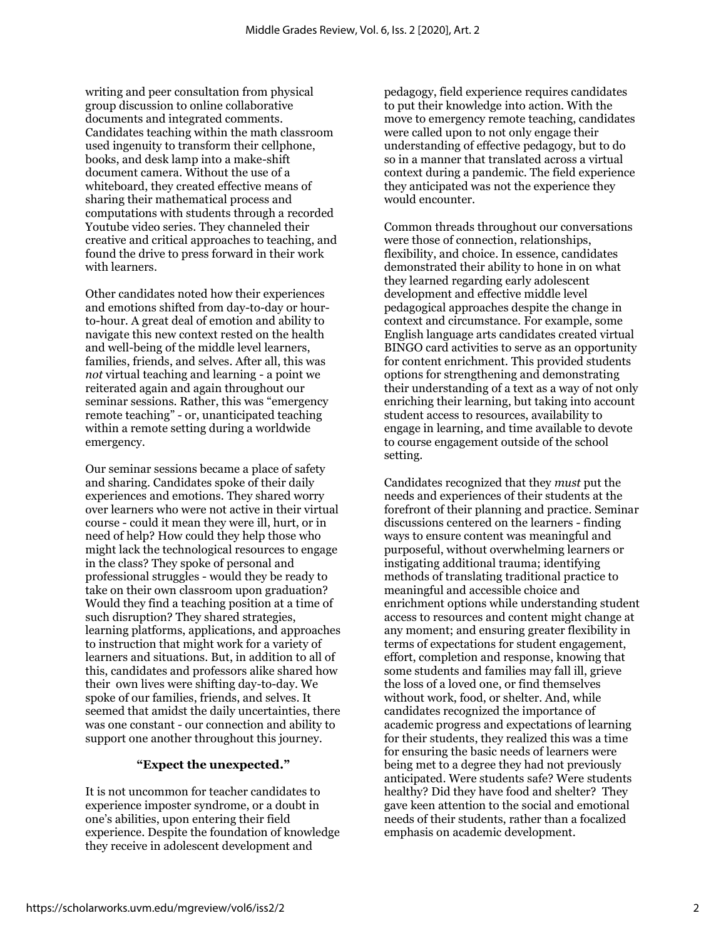writing and peer consultation from physical group discussion to online collaborative documents and integrated comments. Candidates teaching within the math classroom used ingenuity to transform their cellphone, books, and desk lamp into a make-shift document camera. Without the use of a whiteboard, they created effective means of sharing their mathematical process and computations with students through a recorded Youtube video series. They channeled their creative and critical approaches to teaching, and found the drive to press forward in their work with learners.

Other candidates noted how their experiences and emotions shifted from day-to-day or hourto-hour. A great deal of emotion and ability to navigate this new context rested on the health and well-being of the middle level learners, families, friends, and selves. After all, this was *not* virtual teaching and learning - a point we reiterated again and again throughout our seminar sessions. Rather, this was "emergency remote teaching" - or, unanticipated teaching within a remote setting during a worldwide emergency.

Our seminar sessions became a place of safety and sharing. Candidates spoke of their daily experiences and emotions. They shared worry over learners who were not active in their virtual course - could it mean they were ill, hurt, or in need of help? How could they help those who might lack the technological resources to engage in the class? They spoke of personal and professional struggles - would they be ready to take on their own classroom upon graduation? Would they find a teaching position at a time of such disruption? They shared strategies, learning platforms, applications, and approaches to instruction that might work for a variety of learners and situations. But, in addition to all of this, candidates and professors alike shared how their own lives were shifting day-to-day. We spoke of our families, friends, and selves. It seemed that amidst the daily uncertainties, there was one constant - our connection and ability to support one another throughout this journey.

#### **"Expect the unexpected."**

It is not uncommon for teacher candidates to experience imposter syndrome, or a doubt in one's abilities, upon entering their field experience. Despite the foundation of knowledge they receive in adolescent development and

pedagogy, field experience requires candidates to put their knowledge into action. With the move to emergency remote teaching, candidates were called upon to not only engage their understanding of effective pedagogy, but to do so in a manner that translated across a virtual context during a pandemic. The field experience they anticipated was not the experience they would encounter.

Common threads throughout our conversations were those of connection, relationships, flexibility, and choice. In essence, candidates demonstrated their ability to hone in on what they learned regarding early adolescent development and effective middle level pedagogical approaches despite the change in context and circumstance. For example, some English language arts candidates created virtual BINGO card activities to serve as an opportunity for content enrichment. This provided students options for strengthening and demonstrating their understanding of a text as a way of not only enriching their learning, but taking into account student access to resources, availability to engage in learning, and time available to devote to course engagement outside of the school setting.

Candidates recognized that they *must* put the needs and experiences of their students at the forefront of their planning and practice. Seminar discussions centered on the learners - finding ways to ensure content was meaningful and purposeful, without overwhelming learners or instigating additional trauma; identifying methods of translating traditional practice to meaningful and accessible choice and enrichment options while understanding student access to resources and content might change at any moment; and ensuring greater flexibility in terms of expectations for student engagement, effort, completion and response, knowing that some students and families may fall ill, grieve the loss of a loved one, or find themselves without work, food, or shelter. And, while candidates recognized the importance of academic progress and expectations of learning for their students, they realized this was a time for ensuring the basic needs of learners were being met to a degree they had not previously anticipated. Were students safe? Were students healthy? Did they have food and shelter? They gave keen attention to the social and emotional needs of their students, rather than a focalized emphasis on academic development.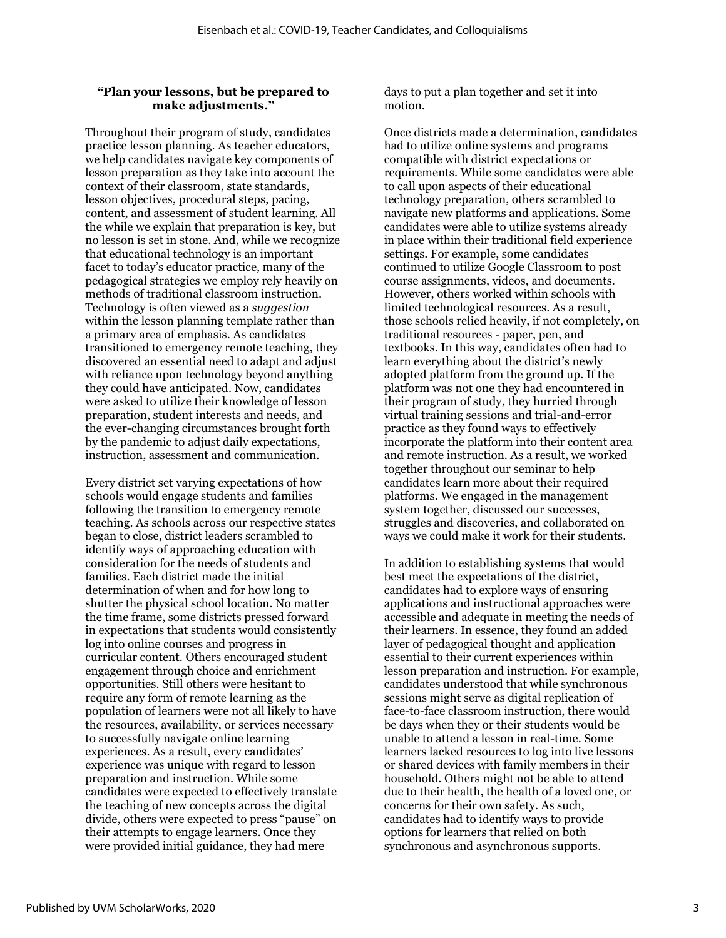#### **"Plan your lessons, but be prepared to make adjustments."**

Throughout their program of study, candidates practice lesson planning. As teacher educators, we help candidates navigate key components of lesson preparation as they take into account the context of their classroom, state standards, lesson objectives, procedural steps, pacing, content, and assessment of student learning. All the while we explain that preparation is key, but no lesson is set in stone. And, while we recognize that educational technology is an important facet to today's educator practice, many of the pedagogical strategies we employ rely heavily on methods of traditional classroom instruction. Technology is often viewed as a *suggestion* within the lesson planning template rather than a primary area of emphasis. As candidates transitioned to emergency remote teaching, they discovered an essential need to adapt and adjust with reliance upon technology beyond anything they could have anticipated. Now, candidates were asked to utilize their knowledge of lesson preparation, student interests and needs, and the ever-changing circumstances brought forth by the pandemic to adjust daily expectations, instruction, assessment and communication.

Every district set varying expectations of how schools would engage students and families following the transition to emergency remote teaching. As schools across our respective states began to close, district leaders scrambled to identify ways of approaching education with consideration for the needs of students and families. Each district made the initial determination of when and for how long to shutter the physical school location. No matter the time frame, some districts pressed forward in expectations that students would consistently log into online courses and progress in curricular content. Others encouraged student engagement through choice and enrichment opportunities. Still others were hesitant to require any form of remote learning as the population of learners were not all likely to have the resources, availability, or services necessary to successfully navigate online learning experiences. As a result, every candidates' experience was unique with regard to lesson preparation and instruction. While some candidates were expected to effectively translate the teaching of new concepts across the digital divide, others were expected to press "pause" on their attempts to engage learners. Once they were provided initial guidance, they had mere

days to put a plan together and set it into motion.

Once districts made a determination, candidates had to utilize online systems and programs compatible with district expectations or requirements. While some candidates were able to call upon aspects of their educational technology preparation, others scrambled to navigate new platforms and applications. Some candidates were able to utilize systems already in place within their traditional field experience settings. For example, some candidates continued to utilize Google Classroom to post course assignments, videos, and documents. However, others worked within schools with limited technological resources. As a result, those schools relied heavily, if not completely, on traditional resources - paper, pen, and textbooks. In this way, candidates often had to learn everything about the district's newly adopted platform from the ground up. If the platform was not one they had encountered in their program of study, they hurried through virtual training sessions and trial-and-error practice as they found ways to effectively incorporate the platform into their content area and remote instruction. As a result, we worked together throughout our seminar to help candidates learn more about their required platforms. We engaged in the management system together, discussed our successes, struggles and discoveries, and collaborated on ways we could make it work for their students.

In addition to establishing systems that would best meet the expectations of the district, candidates had to explore ways of ensuring applications and instructional approaches were accessible and adequate in meeting the needs of their learners. In essence, they found an added layer of pedagogical thought and application essential to their current experiences within lesson preparation and instruction. For example, candidates understood that while synchronous sessions might serve as digital replication of face-to-face classroom instruction, there would be days when they or their students would be unable to attend a lesson in real-time. Some learners lacked resources to log into live lessons or shared devices with family members in their household. Others might not be able to attend due to their health, the health of a loved one, or concerns for their own safety. As such, candidates had to identify ways to provide options for learners that relied on both synchronous and asynchronous supports.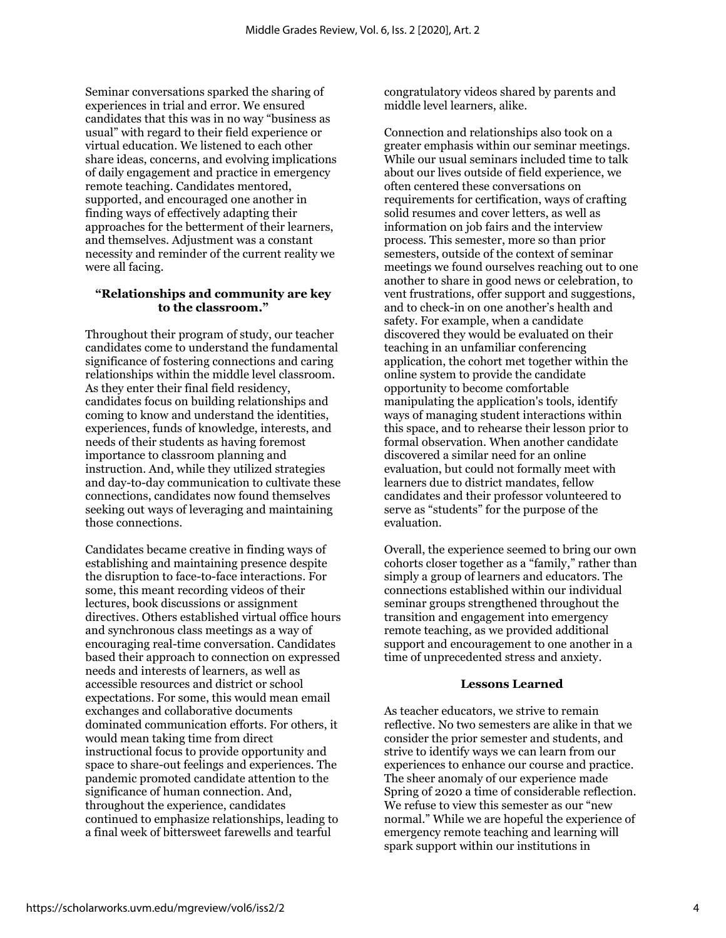Seminar conversations sparked the sharing of experiences in trial and error. We ensured candidates that this was in no way "business as usual" with regard to their field experience or virtual education. We listened to each other share ideas, concerns, and evolving implications of daily engagement and practice in emergency remote teaching. Candidates mentored, supported, and encouraged one another in finding ways of effectively adapting their approaches for the betterment of their learners, and themselves. Adjustment was a constant necessity and reminder of the current reality we were all facing.

#### **"Relationships and community are key to the classroom."**

Throughout their program of study, our teacher candidates come to understand the fundamental significance of fostering connections and caring relationships within the middle level classroom. As they enter their final field residency, candidates focus on building relationships and coming to know and understand the identities, experiences, funds of knowledge, interests, and needs of their students as having foremost importance to classroom planning and instruction. And, while they utilized strategies and day-to-day communication to cultivate these connections, candidates now found themselves seeking out ways of leveraging and maintaining those connections.

Candidates became creative in finding ways of establishing and maintaining presence despite the disruption to face-to-face interactions. For some, this meant recording videos of their lectures, book discussions or assignment directives. Others established virtual office hours and synchronous class meetings as a way of encouraging real-time conversation. Candidates based their approach to connection on expressed needs and interests of learners, as well as accessible resources and district or school expectations. For some, this would mean email exchanges and collaborative documents dominated communication efforts. For others, it would mean taking time from direct instructional focus to provide opportunity and space to share-out feelings and experiences. The pandemic promoted candidate attention to the significance of human connection. And, throughout the experience, candidates continued to emphasize relationships, leading to a final week of bittersweet farewells and tearful

congratulatory videos shared by parents and middle level learners, alike.

Connection and relationships also took on a greater emphasis within our seminar meetings. While our usual seminars included time to talk about our lives outside of field experience, we often centered these conversations on requirements for certification, ways of crafting solid resumes and cover letters, as well as information on job fairs and the interview process. This semester, more so than prior semesters, outside of the context of seminar meetings we found ourselves reaching out to one another to share in good news or celebration, to vent frustrations, offer support and suggestions, and to check-in on one another's health and safety. For example, when a candidate discovered they would be evaluated on their teaching in an unfamiliar conferencing application, the cohort met together within the online system to provide the candidate opportunity to become comfortable manipulating the application's tools, identify ways of managing student interactions within this space, and to rehearse their lesson prior to formal observation. When another candidate discovered a similar need for an online evaluation, but could not formally meet with learners due to district mandates, fellow candidates and their professor volunteered to serve as "students" for the purpose of the evaluation.

Overall, the experience seemed to bring our own cohorts closer together as a "family," rather than simply a group of learners and educators. The connections established within our individual seminar groups strengthened throughout the transition and engagement into emergency remote teaching, as we provided additional support and encouragement to one another in a time of unprecedented stress and anxiety.

#### **Lessons Learned**

As teacher educators, we strive to remain reflective. No two semesters are alike in that we consider the prior semester and students, and strive to identify ways we can learn from our experiences to enhance our course and practice. The sheer anomaly of our experience made Spring of 2020 a time of considerable reflection. We refuse to view this semester as our "new normal." While we are hopeful the experience of emergency remote teaching and learning will spark support within our institutions in